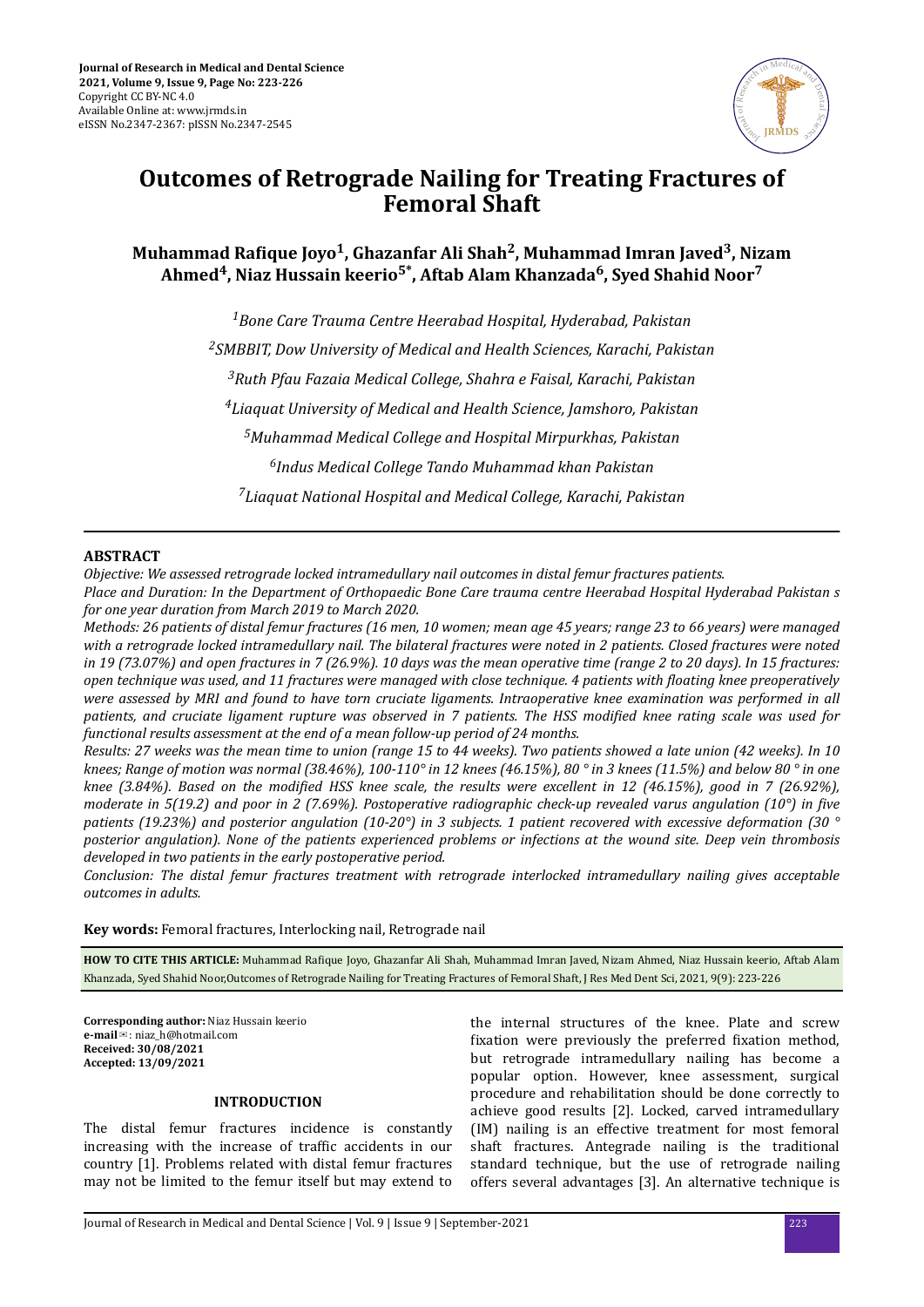

# **Outcomes of Retrograde Nailing for Treating Fractures of Femoral Shaft**

**Muhammad ϐ Joyo<sup>1</sup> , Ghazanfar Ali Shah<sup>2</sup> , Muhammad Imran Javed<sup>3</sup> , Nizam Ahmed<sup>4</sup> , Niaz Hussain keerio5\*, Aftab Alam Khanzada<sup>6</sup> , Syed Shahid Noor<sup>7</sup>**

> *Bone Care Trauma Centre Heerabad Hospital, Hyderabad, Pakistan SMBBIT, Dow University of Medical and Health Sciences, Karachi, Pakistan Ruth Pfau Fazaia Medical College, Shahra e Faisal, Karachi, Pakistan Liaquat University of Medical and Health Science, Jamshoro, Pakistan Muhammad Medical College and Hospital Mirpurkhas, Pakistan Indus Medical College Tando Muhammad khan Pakistan Liaquat National Hospital and Medical College, Karachi, Pakistan*

# **ABSTRACT**

*Objective: We assessed retrograde locked intramedullary nail outcomes in distal femur fractures patients.*

*Place and Duration: In the Department of Orthopaedic Bone Care trauma centre Heerabad Hospital Hyderabad Pakistan s for one year duration from March 2019 to March 2020.*

*Methods: 26 patients of distal femur fractures (16 men, 10 women; mean age 45 years; range 23 to 66 years) were managed with a retrograde locked intramedullary nail. The bilateral fractures were noted in 2 patients. Closed fractures were noted in 19 (73.07%) and open fractures in 7 (26.9%). 10 days was the mean operative time (range 2 to 20 days). In 15 fractures: open technique was used, and 11 fractures were managed with close technique. 4 patients with floating knee preoperatively were assessed by MRI and found to have torn cruciate ligaments. Intraoperative knee examination was performed in all patients, and cruciate ligament rupture was observed in 7 patients. The HSS modified knee rating scale was used for functional results assessment at the end of a mean follow-up period of 24 months.*

*Results: 27 weeks was the mean time to union (range 15 to 44 weeks). Two patients showed a late union (42 weeks). In 10 knees; Range of motion was normal (38.46%), 100-110° in 12 knees (46.15%), 80 ° in 3 knees (11.5%) and below 80 ° in one knee (3.84%). Based on the modified HSS knee scale, the results were excellent in 12 (46.15%), good in 7 (26.92%), moderate in 5(19.2) and poor in 2 (7.69%). Postoperative radiographic check-up revealed varus angulation (10°) in five patients (19.23%) and posterior angulation (10-20°) in 3 subjects. 1 patient recovered with excessive deformation (30 ° posterior angulation). None of the patients experienced problems or infections at the wound site. Deep vein thrombosis developed in two patients in the early postoperative period.*

*Conclusion: The distal femur fractures treatment with retrograde interlocked intramedullary nailing gives acceptable outcomes in adults.*

**Key words:** Femoral fractures, Interlocking nail, Retrograde nail

HOW TO CITE THIS ARTICLE: Muhammad Rafique Joyo, Ghazanfar Ali Shah, Muhammad Imran Javed, Nizam Ahmed, Niaz Hussain keerio, Aftab Alam Khanzada, Syed Shahid Noor,Outcomes of Retrograde Nailing for Treating Fractures of Femoral Shaft, J Res Med Dent Sci, 2021, 9(9): 223-226

**Corresponding author:** Niaz Hussain keerio **e-mail**✉: niaz\_h@hotmail.com **Received: 30/08/2021 Accepted: 13/09/2021** 

## **INTRODUCTION**

The distal femur fractures incidence is constantly increasing with the increase of traffic accidents in our country [1]. Problems related with distal femur fractures may not be limited to the femur itself but may extend to

the internal structures of the knee. Plate and screw fixation were previously the preferred fixation method, but retrograde intramedullary nailing has become a popular option. However, knee assessment, surgical procedure and rehabilitation should be done correctly to achieve good results [2]. Locked, carved intramedullary (IM) nailing is an effective treatment for most femoral shaft fractures. Antegrade nailing is the traditional standard technique, but the use of retrograde nailing offers several advantages [3]. An alternative technique is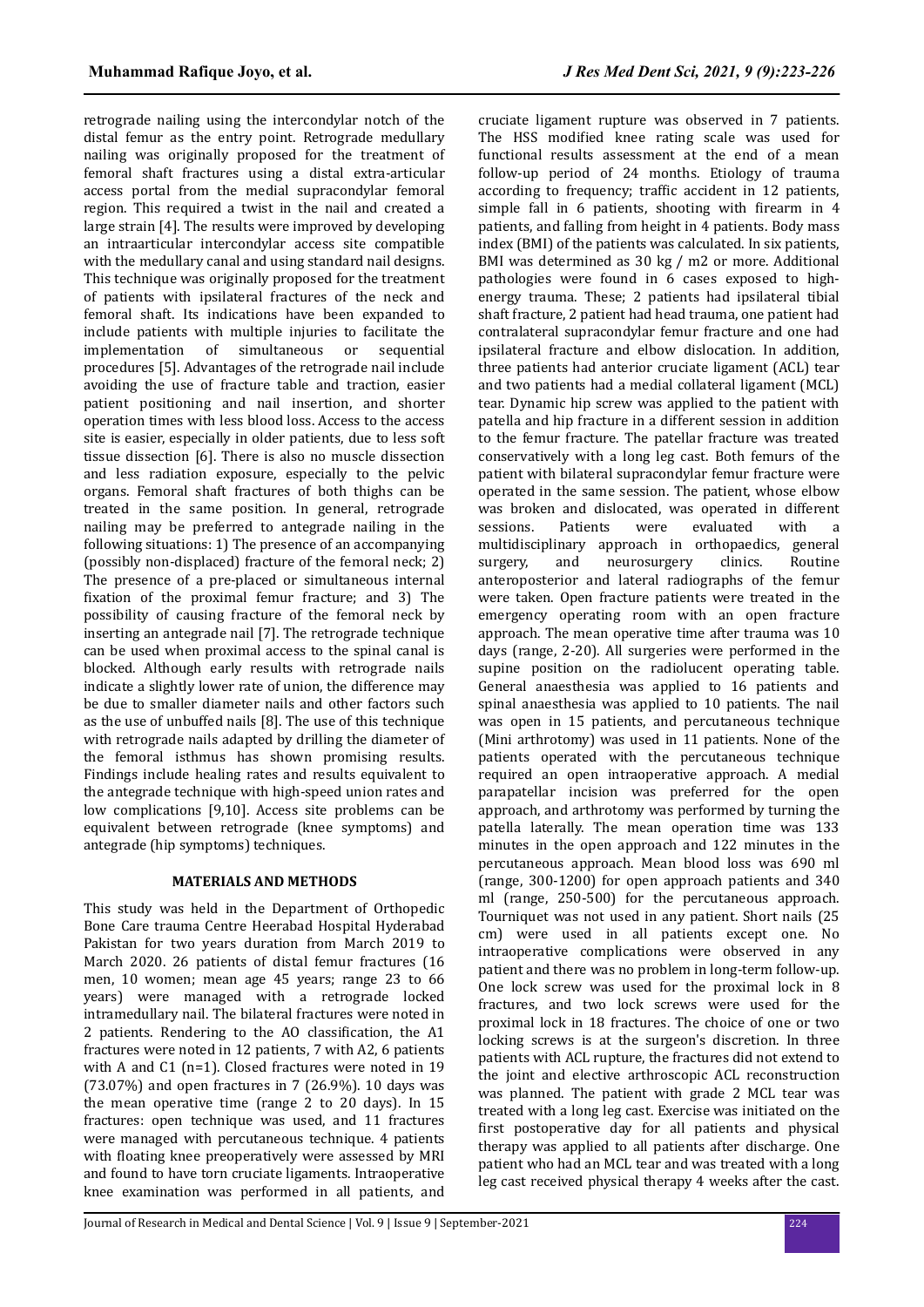retrograde nailing using the intercondylar notch of the distal femur as the entry point. Retrograde medullary nailing was originally proposed for the treatment of femoral shaft fractures using a distal extra-articular access portal from the medial supracondylar femoral region. This required a twist in the nail and created a large strain [4]. The results were improved by developing an intraarticular intercondylar access site compatible with the medullary canal and using standard nail designs. This technique was originally proposed for the treatment of patients with ipsilateral fractures of the neck and femoral shaft. Its indications have been expanded to include patients with multiple injuries to facilitate the implementation of simultaneous or procedures [5]. Advantages of the retrograde nail include avoiding the use of fracture table and traction, easier patient positioning and nail insertion, and shorter operation times with less blood loss. Access to the access site is easier, especially in older patients, due to less soft tissue dissection [6]. There is also no muscle dissection and less radiation exposure, especially to the pelvic organs. Femoral shaft fractures of both thighs can be treated in the same position. In general, retrograde nailing may be preferred to antegrade nailing in the following situations: 1) The presence of an accompanying (possibly non-displaced) fracture of the femoral neck; 2) The presence of a pre-placed or simultaneous internal fixation of the proximal femur fracture; and 3) The possibility of causing fracture of the femoral neck by inserting an antegrade nail [7]. The retrograde technique can be used when proximal access to the spinal canal is blocked. Although early results with retrograde nails indicate a slightly lower rate of union, the difference may be due to smaller diameter nails and other factors such as the use of unbuffed nails [8]. The use of this technique with retrograde nails adapted by drilling the diameter of the femoral isthmus has shown promising results. Findings include healing rates and results equivalent to the antegrade technique with high-speed union rates and low complications [9,10]. Access site problems can be equivalent between retrograde (knee symptoms) and antegrade (hip symptoms) techniques.

#### **MATERIALS AND METHODS**

This study was held in the Department of Orthopedic Bone Care trauma Centre Heerabad Hospital Hyderabad Pakistan for two years duration from March 2019 to March 2020. 26 patients of distal femur fractures (16 men, 10 women; mean age 45 years; range 23 to 66 years) were managed with a retrograde locked intramedullary nail. The bilateral fractures were noted in 2 patients. Rendering to the AO classification, the A1 fractures were noted in 12 patients, 7 with A2, 6 patients with A and C1 (n=1). Closed fractures were noted in 19 (73.07%) and open fractures in 7 (26.9%). 10 days was the mean operative time (range 2 to 20 days). In 15 fractures: open technique was used, and 11 fractures were managed with percutaneous technique. 4 patients with floating knee preoperatively were assessed by MRI and found to have torn cruciate ligaments. Intraoperative knee examination was performed in all patients, and

cruciate ligament rupture was observed in 7 patients. The HSS modified knee rating scale was used for functional results assessment at the end of a mean follow-up period of 24 months. Etiology of trauma according to frequency; traffic accident in 12 patients, simple fall in 6 patients, shooting with firearm in 4 patients, and falling from height in 4 patients. Body mass index (BMI) of the patients was calculated. In six patients, BMI was determined as 30 kg / m2 or more. Additional pathologies were found in 6 cases exposed to highenergy trauma. These; 2 patients had ipsilateral tibial shaft fracture, 2 patient had head trauma, one patient had contralateral supracondylar femur fracture and one had ipsilateral fracture and elbow dislocation. In addition, three patients had anterior cruciate ligament (ACL) tear and two patients had a medial collateral ligament (MCL) tear. Dynamic hip screw was applied to the patient with patella and hip fracture in a different session in addition to the femur fracture. The patellar fracture was treated conservatively with a long leg cast. Both femurs of the patient with bilateral supracondylar femur fracture were operated in the same session. The patient, whose elbow was broken and dislocated, was operated in different sessions. Patients were evaluated with a multidisciplinary approach in orthopaedics, general surgery, and neurosurgery clinics. Routine anteroposterior and lateral radiographs of the femur were taken. Open fracture patients were treated in the emergency operating room with an open fracture approach. The mean operative time after trauma was 10 days (range, 2-20). All surgeries were performed in the supine position on the radiolucent operating table. General anaesthesia was applied to 16 patients and spinal anaesthesia was applied to 10 patients. The nail was open in 15 patients, and percutaneous technique (Mini arthrotomy) was used in 11 patients. None of the patients operated with the percutaneous technique required an open intraoperative approach. A medial parapatellar incision was preferred for the open approach, and arthrotomy was performed by turning the patella laterally. The mean operation time was 133 minutes in the open approach and 122 minutes in the percutaneous approach. Mean blood loss was 690 ml (range, 300-1200) for open approach patients and 340 ml (range, 250-500) for the percutaneous approach. Tourniquet was not used in any patient. Short nails (25 cm) were used in all patients except one. No intraoperative complications were observed in any patient and there was no problem in long-term follow-up. One lock screw was used for the proximal lock in 8 fractures, and two lock screws were used for the proximal lock in 18 fractures. The choice of one or two locking screws is at the surgeon's discretion. In three patients with ACL rupture, the fractures did not extend to the joint and elective arthroscopic ACL reconstruction was planned. The patient with grade 2 MCL tear was treated with a long leg cast. Exercise was initiated on the first postoperative day for all patients and physical therapy was applied to all patients after discharge. One patient who had an MCL tear and was treated with a long leg cast received physical therapy 4 weeks after the cast.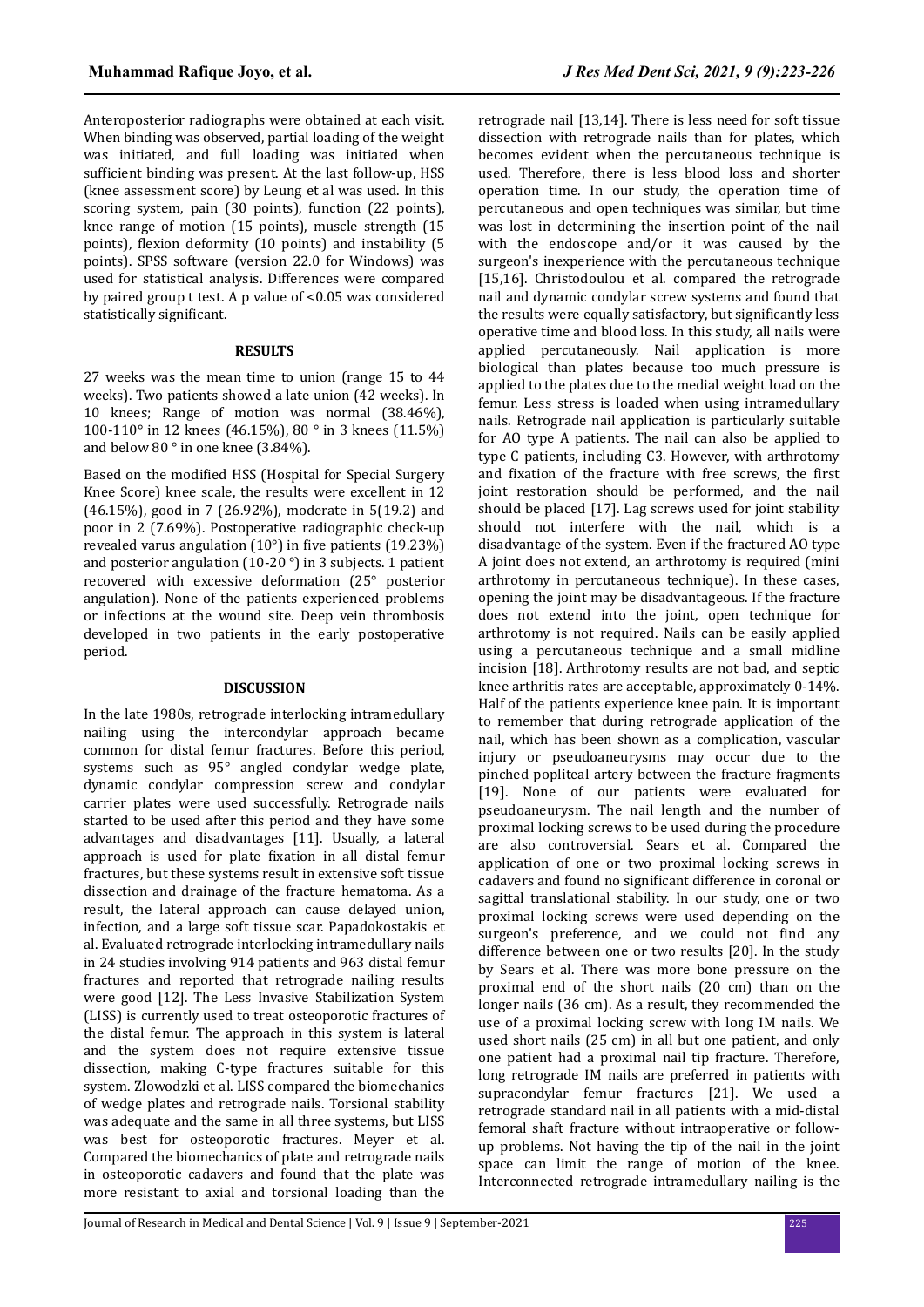Anteroposterior radiographs were obtained at each visit. When binding was observed, partial loading of the weight was initiated, and full loading was initiated when sufficient binding was present. At the last follow-up, HSS (knee assessment score) by Leung et al was used. In this scoring system, pain (30 points), function (22 points), knee range of motion (15 points), muscle strength (15 points), flexion deformity (10 points) and instability (5 points). SPSS software (version 22.0 for Windows) was used for statistical analysis. Differences were compared by paired group t test. A p value of <0.05 was considered statistically significant.

## **RESULTS**

27 weeks was the mean time to union (range 15 to 44 weeks). Two patients showed a late union (42 weeks). In 10 knees; Range of motion was normal (38.46%), 100-110° in 12 knees (46.15%), 80 ° in 3 knees (11.5%) and below 80 ° in one knee (3.84%).

Based on the modified HSS (Hospital for Special Surgery Knee Score) knee scale, the results were excellent in 12 (46.15%), good in 7 (26.92%), moderate in 5(19.2) and poor in 2 (7.69%). Postoperative radiographic check-up revealed varus angulation  $(10^{\circ})$  in five patients  $(19.23\%)$ and posterior angulation (10-20 °) in 3 subjects. 1 patient recovered with excessive deformation (25° posterior angulation). None of the patients experienced problems or infections at the wound site. Deep vein thrombosis developed in two patients in the early postoperative period.

### **DISCUSSION**

In the late 1980s, retrograde interlocking intramedullary nailing using the intercondylar approach became common for distal femur fractures. Before this period, systems such as 95° angled condylar wedge plate, dynamic condylar compression screw and condylar carrier plates were used successfully. Retrograde nails started to be used after this period and they have some advantages and disadvantages [11]. Usually, a lateral approach is used for plate fixation in all distal femur fractures, but these systems result in extensive soft tissue dissection and drainage of the fracture hematoma. As a result, the lateral approach can cause delayed union, infection, and a large soft tissue scar. Papadokostakis et al. Evaluated retrograde interlocking intramedullary nails in 24 studies involving 914 patients and 963 distal femur fractures and reported that retrograde nailing results were good [12]. The Less Invasive Stabilization System (LISS) is currently used to treat osteoporotic fractures of the distal femur. The approach in this system is lateral and the system does not require extensive tissue dissection, making C-type fractures suitable for this system. Zlowodzki et al. LISS compared the biomechanics of wedge plates and retrograde nails. Torsional stability was adequate and the same in all three systems, but LISS was best for osteoporotic fractures. Meyer et al. Compared the biomechanics of plate and retrograde nails in osteoporotic cadavers and found that the plate was more resistant to axial and torsional loading than the

retrograde nail [13,14]. There is less need for soft tissue dissection with retrograde nails than for plates, which becomes evident when the percutaneous technique is used. Therefore, there is less blood loss and shorter operation time. In our study, the operation time of percutaneous and open techniques was similar, but time was lost in determining the insertion point of the nail with the endoscope and/or it was caused by the surgeon's inexperience with the percutaneous technique [15,16]. Christodoulou et al. compared the retrograde nail and dynamic condylar screw systems and found that the results were equally satisfactory, but significantly less operative time and blood loss. In this study, all nails were applied percutaneously. Nail application is more biological than plates because too much pressure is applied to the plates due to the medial weight load on the femur. Less stress is loaded when using intramedullary nails. Retrograde nail application is particularly suitable for AO type A patients. The nail can also be applied to type C patients, including C3. However, with arthrotomy and fixation of the fracture with free screws, the first joint restoration should be performed, and the nail should be placed [17]. Lag screws used for joint stability should not interfere with the nail, which is a disadvantage of the system. Even if the fractured AO type A joint does not extend, an arthrotomy is required (mini arthrotomy in percutaneous technique). In these cases, opening the joint may be disadvantageous. If the fracture does not extend into the joint, open technique for arthrotomy is not required. Nails can be easily applied using a percutaneous technique and a small midline incision [18]. Arthrotomy results are not bad, and septic knee arthritis rates are acceptable, approximately 0-14%. Half of the patients experience knee pain. It is important to remember that during retrograde application of the nail, which has been shown as a complication, vascular injury or pseudoaneurysms may occur due to the pinched popliteal artery between the fracture fragments [19]. None of our patients were evaluated for pseudoaneurysm. The nail length and the number of proximal locking screws to be used during the procedure are also controversial. Sears et al. Compared the application of one or two proximal locking screws in cadavers and found no significant difference in coronal or sagittal translational stability. In our study, one or two proximal locking screws were used depending on the surgeon's preference, and we could not find any difference between one or two results [20]. In the study by Sears et al. There was more bone pressure on the proximal end of the short nails (20 cm) than on the longer nails (36 cm). As a result, they recommended the use of a proximal locking screw with long IM nails. We used short nails (25 cm) in all but one patient, and only one patient had a proximal nail tip fracture. Therefore, long retrograde IM nails are preferred in patients with supracondylar femur fractures [21]. We used a retrograde standard nail in all patients with a mid-distal femoral shaft fracture without intraoperative or followup problems. Not having the tip of the nail in the joint space can limit the range of motion of the knee. Interconnected retrograde intramedullary nailing is the